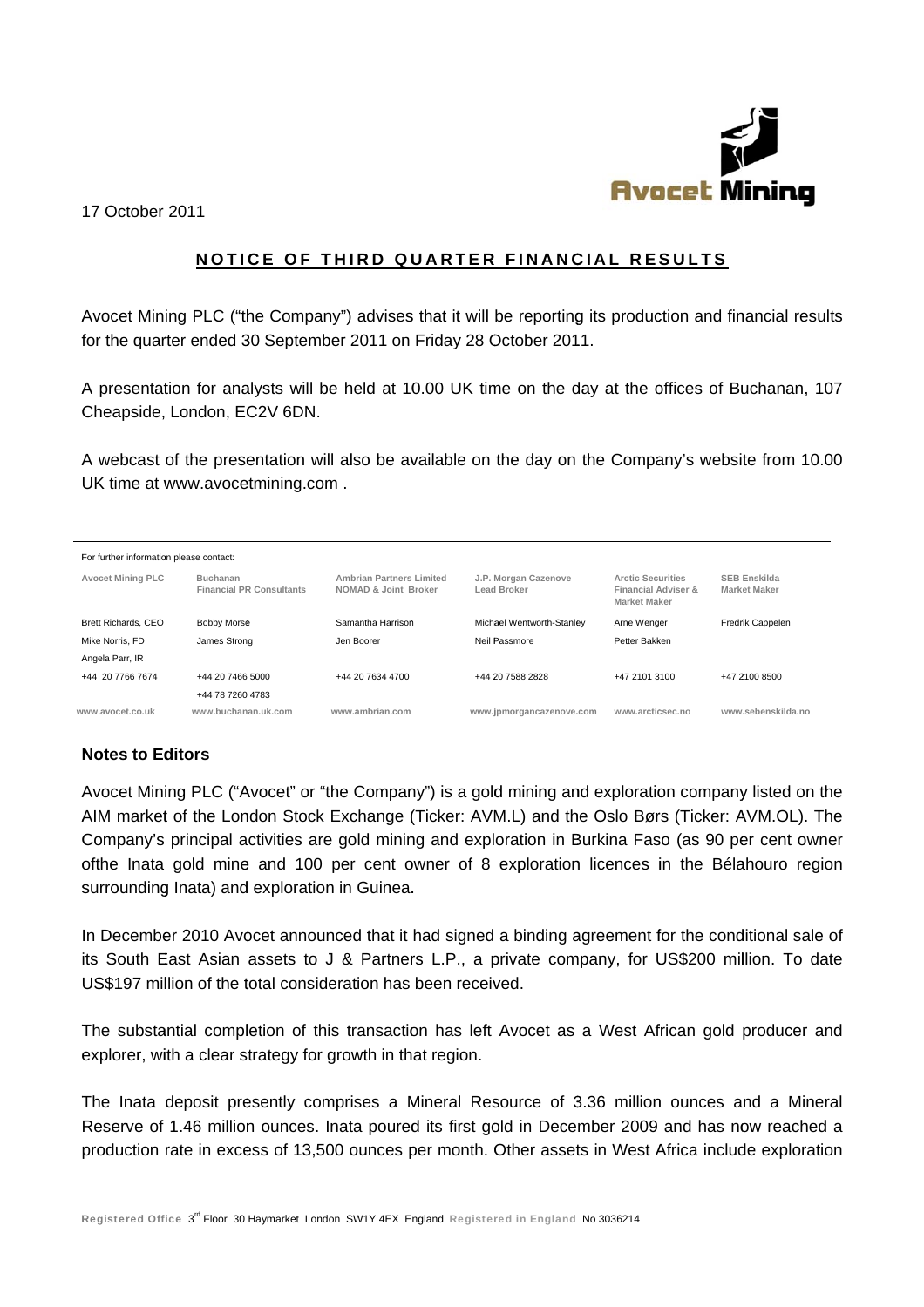

17 October 2011

## NOTICE OF THIRD QUARTER FINANCIAL RESULTS

Avocet Mining PLC ("the Company") advises that it will be reporting its production and financial results for the quarter ended 30 September 2011 on Friday 28 October 2011.

A presentation for analysts will be held at 10.00 UK time on the day at the offices of Buchanan, 107 Cheapside, London, EC2V 6DN.

A webcast of the presentation will also be available on the day on the Company's website from 10.00 UK time at www.avocetmining.com.

| For further information please contact: |                                             |                                                         |                                     |                                                                        |                                            |
|-----------------------------------------|---------------------------------------------|---------------------------------------------------------|-------------------------------------|------------------------------------------------------------------------|--------------------------------------------|
| <b>Avocet Mining PLC</b>                | Buchanan<br><b>Financial PR Consultants</b> | <b>Ambrian Partners Limited</b><br>NOMAD & Joint Broker | J.P. Morgan Cazenove<br>Lead Broker | <b>Arctic Securities</b><br>Financial Adviser &<br><b>Market Maker</b> | <b>SEB Enskilda</b><br><b>Market Maker</b> |
| Brett Richards, CEO                     | <b>Bobby Morse</b>                          | Samantha Harrison                                       | Michael Wentworth-Stanley           | Arne Wenger                                                            | Fredrik Cappelen                           |
| Mike Norris, FD                         | James Strong                                | Jen Boorer                                              | Neil Passmore                       | Petter Bakken                                                          |                                            |
| Angela Parr, IR                         |                                             |                                                         |                                     |                                                                        |                                            |
| +44 20 7766 7674                        | +44 20 7466 5000                            | +44 20 7634 4700                                        | +44 20 7588 2828                    | +47 2101 3100                                                          | +47 2100 8500                              |
|                                         | +44 78 7260 4783                            |                                                         |                                     |                                                                        |                                            |
| www.avocet.co.uk                        | www.buchanan.uk.com                         | www.ambrian.com                                         | www.jpmorgancazenove.com            | www.arcticsec.no                                                       | www.sebenskilda.no                         |

## **Notes to Editors**

Avocet Mining PLC ("Avocet" or "the Company") is a gold mining and exploration company listed on the AIM market of the London Stock Exchange (Ticker: AVM.L) and the Oslo Børs (Ticker: AVM.OL). The Company's principal activities are gold mining and exploration in Burkina Faso (as 90 per cent owner ofthe Inata gold mine and 100 per cent owner of 8 exploration licences in the Bélahouro region surrounding Inata) and exploration in Guinea.

In December 2010 Avocet announced that it had signed a binding agreement for the conditional sale of its South East Asian assets to J & Partners L.P., a private company, for US\$200 million. To date US\$197 million of the total consideration has been received.

The substantial completion of this transaction has left Avocet as a West African gold producer and explorer, with a clear strategy for growth in that region.

The Inata deposit presently comprises a Mineral Resource of 3.36 million ounces and a Mineral Reserve of 1.46 million ounces. Inata poured its first gold in December 2009 and has now reached a production rate in excess of 13.500 ounces per month. Other assets in West Africa include exploration